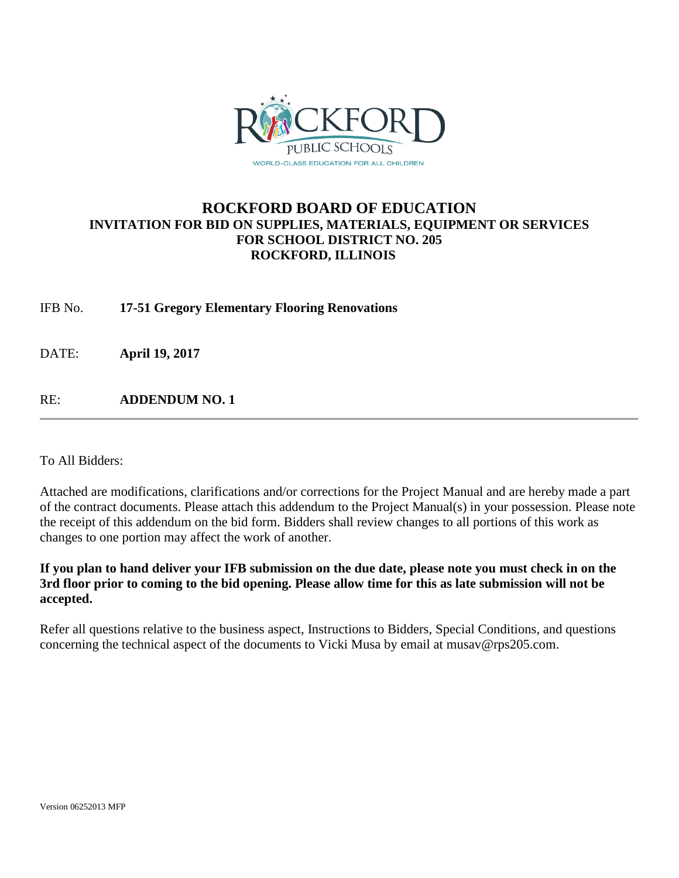

# **ROCKFORD BOARD OF EDUCATION INVITATION FOR BID ON SUPPLIES, MATERIALS, EQUIPMENT OR SERVICES FOR SCHOOL DISTRICT NO. 205 ROCKFORD, ILLINOIS**

IFB No. **17-51 Gregory Elementary Flooring Renovations**

DATE: **April 19, 2017**

RE: **ADDENDUM NO. 1**

To All Bidders:

Attached are modifications, clarifications and/or corrections for the Project Manual and are hereby made a part of the contract documents. Please attach this addendum to the Project Manual(s) in your possession. Please note the receipt of this addendum on the bid form. Bidders shall review changes to all portions of this work as changes to one portion may affect the work of another.

**If you plan to hand deliver your IFB submission on the due date, please note you must check in on the 3rd floor prior to coming to the bid opening. Please allow time for this as late submission will not be accepted.**

Refer all questions relative to the business aspect, Instructions to Bidders, Special Conditions, and questions concerning the technical aspect of the documents to Vicki Musa by email at musav@rps205.com.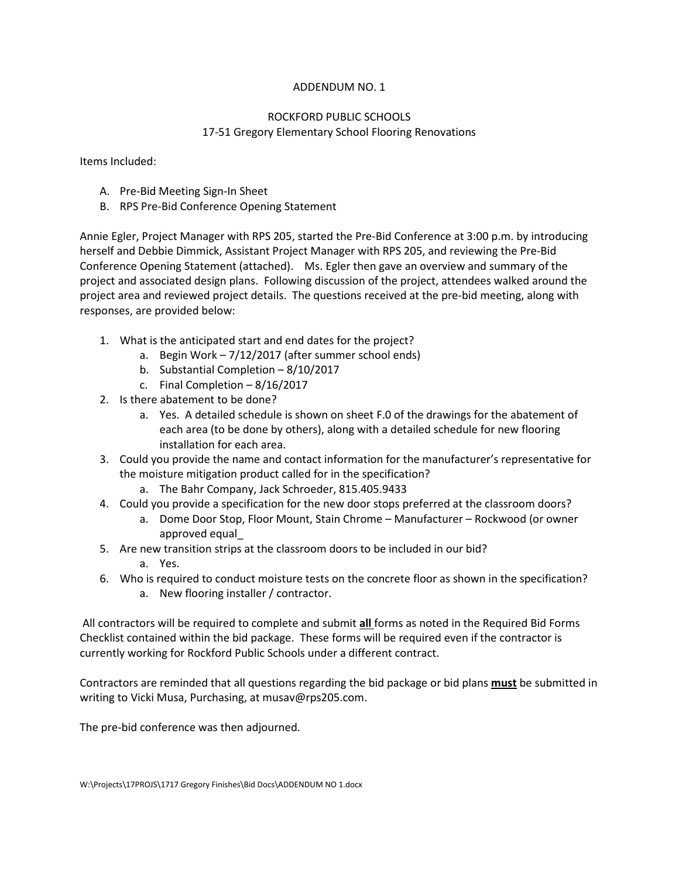## ADDENDUM NO. 1

## ROCKFORD PUBLIC SCHOOLS 17-51 Gregory Elementary School Flooring Renovations

Items Included:

- A. Pre-Bid Meeting Sign-In Sheet
- B. RPS Pre-Bid Conference Opening Statement

Annie Egler, Project Manager with RPS 205, started the Pre-Bid Conference at 3:00 p.m. by introducing herself and Debbie Dimmick, Assistant Project Manager with RPS 205, and reviewing the Pre-Bid Conference Opening Statement (attached). Ms. Egler then gave an overview and summary of the project and associated design plans. Following discussion of the project, attendees walked around the project area and reviewed project details. The questions received at the pre-bid meeting, along with responses, are provided below:

- 1. What is the anticipated start and end dates for the project?
	- a. Begin Work 7/12/2017 (after summer school ends)
	- b. Substantial Completion 8/10/2017
	- c. Final Completion 8/16/2017
- 2. Is there abatement to be done?
	- a. Yes. A detailed schedule is shown on sheet F.0 of the drawings for the abatement of each area (to be done by others), along with a detailed schedule for new flooring installation for each area.
- 3. Could you provide the name and contact information for the manufacturer's representative for the moisture mitigation product called for in the specification?
	- a. The Bahr Company, Jack Schroeder, 815.405.9433
- 4. Could you provide a specification for the new door stops preferred at the classroom doors?
	- a. Dome Door Stop, Floor Mount, Stain Chrome Manufacturer Rockwood (or owner approved equal\_
- 5. Are new transition strips at the classroom doors to be included in our bid? a. Yes.
- 6. Who is required to conduct moisture tests on the concrete floor as shown in the specification?
	- a. New flooring installer / contractor.

All contractors will be required to complete and submit **all** forms as noted in the Required Bid Forms Checklist contained within the bid package. These forms will be required even if the contractor is currently working for Rockford Public Schools under a different contract.

Contractors are reminded that all questions regarding the bid package or bid plans **must** be submitted in writing to Vicki Musa, Purchasing, at musav@rps205.com.

The pre-bid conference was then adjourned.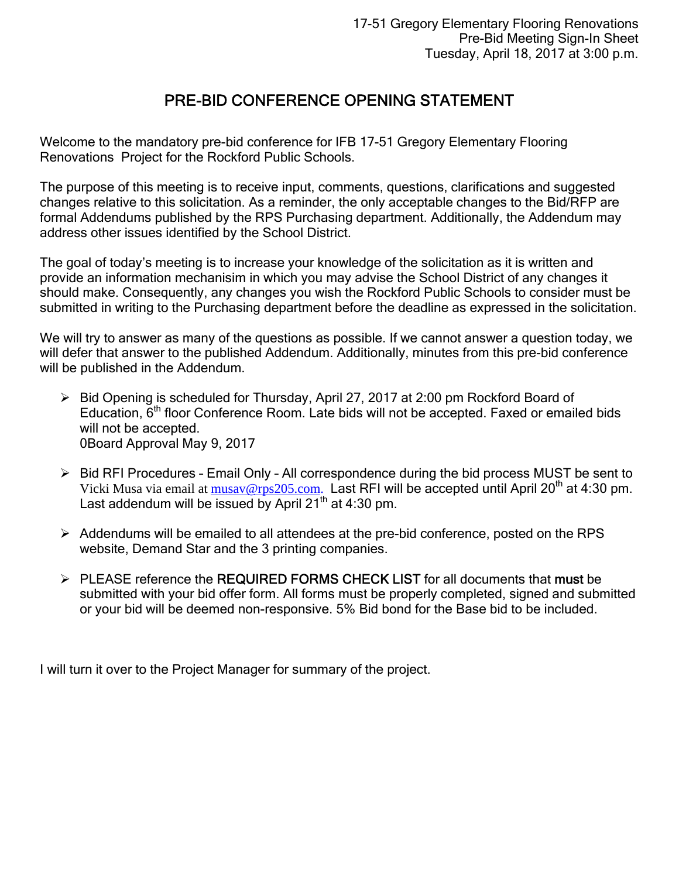# PRE-BID CONFERENCE OPENING STATEMENT

Welcome to the mandatory pre-bid conference for IFB 17-51 Gregory Elementary Flooring Renovations Project for the Rockford Public Schools.

The purpose of this meeting is to receive input, comments, questions, clarifications and suggested changes relative to this solicitation. As a reminder, the only acceptable changes to the Bid/RFP are formal Addendums published by the RPS Purchasing department. Additionally, the Addendum may address other issues identified by the School District.

The goal of today's meeting is to increase your knowledge of the solicitation as it is written and provide an information mechanisim in which you may advise the School District of any changes it should make. Consequently, any changes you wish the Rockford Public Schools to consider must be submitted in writing to the Purchasing department before the deadline as expressed in the solicitation.

We will try to answer as many of the questions as possible. If we cannot answer a question today, we will defer that answer to the published Addendum. Additionally, minutes from this pre-bid conference will be published in the Addendum.

- Bid Opening is scheduled for Thursday, April 27, 2017 at 2:00 pm Rockford Board of Education,  $\tilde{6}^{th}$  floor Conference Room. Late bids will not be accepted. Faxed or emailed bids will not be accepted. 0Board Approval May 9, 2017
- $\triangleright$  Bid RFI Procedures Email Only All correspondence during the bid process MUST be sent to Vicki Musa via email at  $musav@rps205.com$ . Last RFI will be accepted until April 20<sup>th</sup> at 4:30 pm. Last addendum will be issued by April  $21<sup>th</sup>$  at 4:30 pm.
- $\triangleright$  Addendums will be emailed to all attendees at the pre-bid conference, posted on the RPS website, Demand Star and the 3 printing companies.
- PLEASE reference the REQUIRED FORMS CHECK LIST for all documents that must be submitted with your bid offer form. All forms must be properly completed, signed and submitted or your bid will be deemed non-responsive. 5% Bid bond for the Base bid to be included.

I will turn it over to the Project Manager for summary of the project.